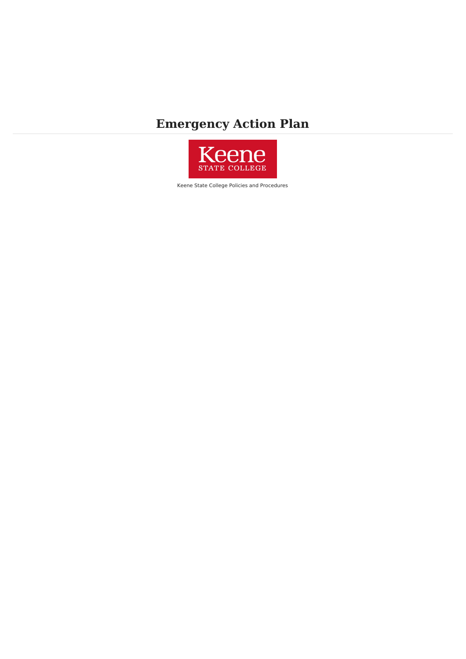# **Emergency Action Plan**



Keene State College Policies and Procedures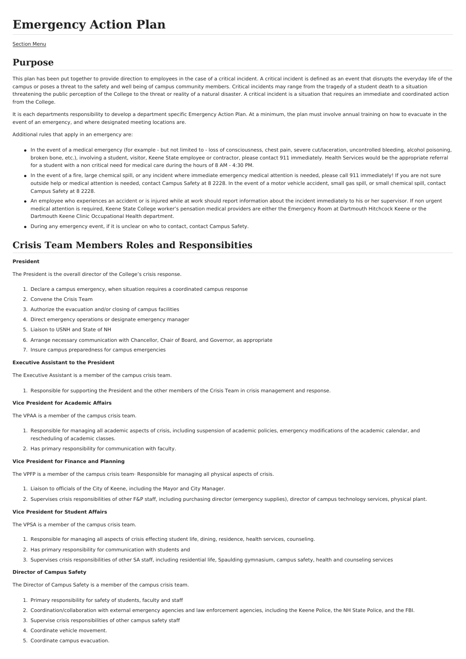# **Emergency Action Plan**

#### [Section](file:///var/www/vhosts/pw.keene.edu/public_html/ksc/assets/cache/PdfCache/16569700953233.html#aside) Menu

## **Purpose**

This plan has been put together to provide direction to employees in the case of a critical incident. A critical incident is defined as an event that disrupts the everyday life of the campus or poses a threat to the safety and well being of campus community members. Critical incidents may range from the tragedy of a student death to a situation threatening the public perception of the College to the threat or reality of a natural disaster. A critical incident is a situation that requires an immediate and coordinated action from the College.

It is each departments responsibility to develop a department specific Emergency Action Plan. At a minimum, the plan must involve annual training on how to evacuate in the event of an emergency, and where designated meeting locations are.

Additional rules that apply in an emergency are:

- In the event of a medical emergency (for example but not limited to loss of consciousness, chest pain, severe cut/laceration, uncontrolled bleeding, alcohol poisoning, broken bone, etc.), involving a student, visitor, Keene State employee or contractor, please contact 911 immediately. Health Services would be the appropriate referral for a student with a non critical need for medical care during the hours of 8 AM - 4:30 PM.
- In the event of a fire, large chemical spill, or any incident where immediate emergency medical attention is needed, please call 911 immediately! If you are not sure outside help or medical attention is needed, contact Campus Safety at 8 2228. In the event of a motor vehicle accident, small gas spill, or small chemical spill, contact Campus Safety at 8 2228.
- An employee who experiences an accident or is injured while at work should report information about the incident immediately to his or her supervisor. If non urgent medical attention is required, Keene State College worker's pensation medical providers are either the Emergency Room at Dartmouth Hitchcock Keene or the Dartmouth Keene Clinic Occupational Health department.
- During any emergency event, if it is unclear on who to contact, contact Campus Safety.

## **Crisis Team Members Roles and Responsibities**

#### **President**

The President is the overall director of the College's crisis response.

- 1. Declare a campus emergency, when situation requires a coordinated campus response
- 2. Convene the Crisis Team
- 3. Authorize the evacuation and/or closing of campus facilities
- 4. Direct emergency operations or designate emergency manager
- 5. Liaison to USNH and State of NH
- 6. Arrange necessary communication with Chancellor, Chair of Board, and Governor, as appropriate
- 7. Insure campus preparedness for campus emergencies

#### **Executive Assistant to the President**

The Executive Assistant is a member of the campus crisis team.

1. Responsible for supporting the President and the other members of the Crisis Team in crisis management and response.

#### **Vice President for Academic Affairs**

The VPAA is a member of the campus crisis team.

- 1. Responsible for managing all academic aspects of crisis, including suspension of academic policies, emergency modifications of the academic calendar, and rescheduling of academic classes.
- 2. Has primary responsibility for communication with faculty.

#### **Vice President for Finance and Planning**

The VPFP is a member of the campus crisis team· Responsible for managing all physical aspects of crisis.

- 1. Liaison to officials of the City of Keene, including the Mayor and City Manager.
- 2. Supervises crisis responsibilities of other F&P staff, including purchasing director (emergency supplies), director of campus technology services, physical plant.

#### **Vice President for Student Affairs**

The VPSA is a member of the campus crisis team.

- 1. Responsible for managing all aspects of crisis effecting student life, dining, residence, health services, counseling.
- 2. Has primary responsibility for communication with students and
- 3. Supervises crisis responsibilities of other SA staff, including residential life, Spaulding gymnasium, campus safety, health and counseling services

#### **Director of Campus Safety**

The Director of Campus Safety is a member of the campus crisis team.

- 1. Primary responsibility for safety of students, faculty and staff
- 2. Coordination/collaboration with external emergency agencies and law enforcement agencies, including the Keene Police, the NH State Police, and the FBI.
- 3. Supervise crisis responsibilities of other campus safety staff
- 4. Coordinate vehicle movement.
- 5. Coordinate campus evacuation.